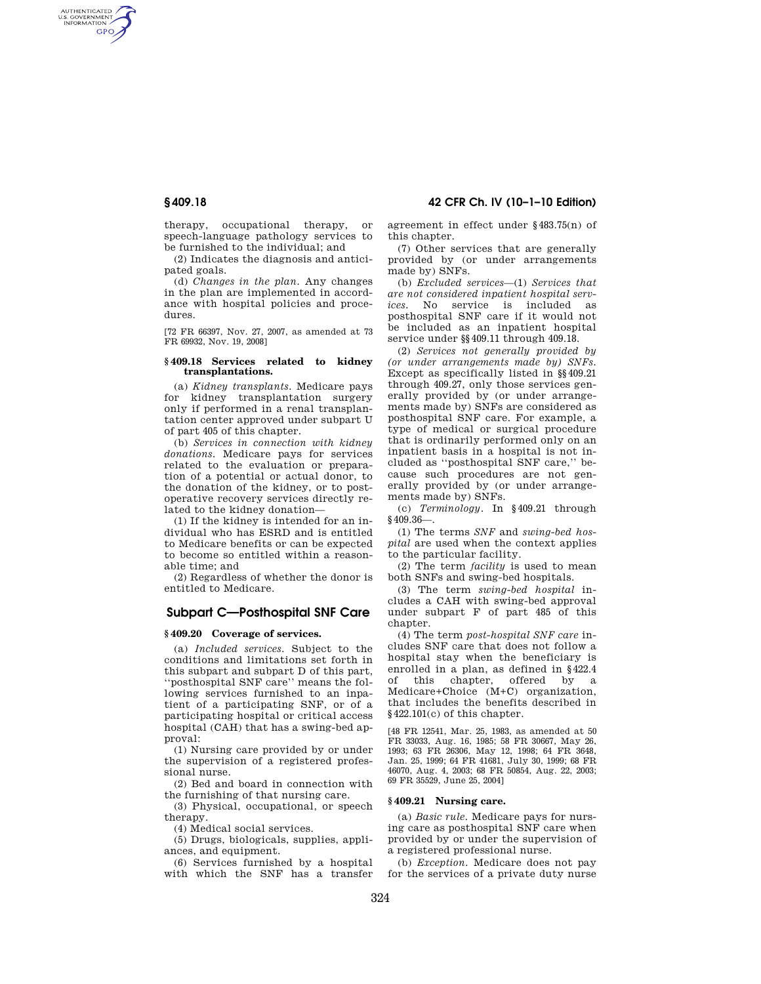AUTHENTICATED<br>U.S. GOVERNMENT<br>INFORMATION **GPO** 

**§ 409.18 42 CFR Ch. IV (10–1–10 Edition)** 

therapy, occupational therapy, or speech-language pathology services to be furnished to the individual; and

(2) Indicates the diagnosis and anticipated goals.

(d) *Changes in the plan.* Any changes in the plan are implemented in accordance with hospital policies and procedures.

[72 FR 66397, Nov. 27, 2007, as amended at 73 FR 69932, Nov. 19, 2008]

## **§ 409.18 Services related to kidney transplantations.**

(a) *Kidney transplants.* Medicare pays for kidney transplantation surgery only if performed in a renal transplantation center approved under subpart U of part 405 of this chapter.

(b) *Services in connection with kidney donations.* Medicare pays for services related to the evaluation or preparation of a potential or actual donor, to the donation of the kidney, or to postoperative recovery services directly related to the kidney donation—

(1) If the kidney is intended for an individual who has ESRD and is entitled to Medicare benefits or can be expected to become so entitled within a reasonable time; and

(2) Regardless of whether the donor is entitled to Medicare.

# **Subpart C—Posthospital SNF Care**

# **§ 409.20 Coverage of services.**

(a) *Included services.* Subject to the conditions and limitations set forth in this subpart and subpart D of this part, ''posthospital SNF care'' means the following services furnished to an inpatient of a participating SNF, or of a participating hospital or critical access hospital (CAH) that has a swing-bed approval:

(1) Nursing care provided by or under the supervision of a registered professional nurse.

(2) Bed and board in connection with the furnishing of that nursing care.

(3) Physical, occupational, or speech therapy.

(4) Medical social services.

(5) Drugs, biologicals, supplies, appliances, and equipment.

(6) Services furnished by a hospital with which the SNF has a transfer agreement in effect under §483.75(n) of this chapter.

(7) Other services that are generally provided by (or under arrangements made by) SNFs.

(b) *Excluded services*—(1) *Services that are not considered inpatient hospital services.* No service is included as posthospital SNF care if it would not be included as an inpatient hospital service under §§409.11 through 409.18.

(2) *Services not generally provided by (or under arrangements made by) SNFs.*  Except as specifically listed in §§409.21 through 409.27, only those services generally provided by (or under arrangements made by) SNFs are considered as posthospital SNF care. For example, a type of medical or surgical procedure that is ordinarily performed only on an inpatient basis in a hospital is not included as ''posthospital SNF care,'' because such procedures are not generally provided by (or under arrangements made by) SNFs.

(c) *Terminology.* In §409.21 through  $§409.36-$ 

(1) The terms *SNF* and *swing-bed hospital* are used when the context applies to the particular facility.

(2) The term *facility* is used to mean both SNFs and swing-bed hospitals.

(3) The term *swing-bed hospital* includes a CAH with swing-bed approval under subpart F of part 485 of this chapter.

(4) The term *post-hospital SNF care* includes SNF care that does not follow a hospital stay when the beneficiary is enrolled in a plan, as defined in §422.4 of this chapter, offered by a Medicare+Choice (M+C) organization, that includes the benefits described in §422.101(c) of this chapter.

[48 FR 12541, Mar. 25, 1983, as amended at 50 FR 33033, Aug. 16, 1985; 58 FR 30667, May 26, 1993; 63 FR 26306, May 12, 1998; 64 FR 3648, Jan. 25, 1999; 64 FR 41681, July 30, 1999; 68 FR 46070, Aug. 4, 2003; 68 FR 50854, Aug. 22, 2003; 69 FR 35529, June 25, 2004]

## **§ 409.21 Nursing care.**

(a) *Basic rule.* Medicare pays for nursing care as posthospital SNF care when provided by or under the supervision of a registered professional nurse.

(b) *Exception.* Medicare does not pay for the services of a private duty nurse